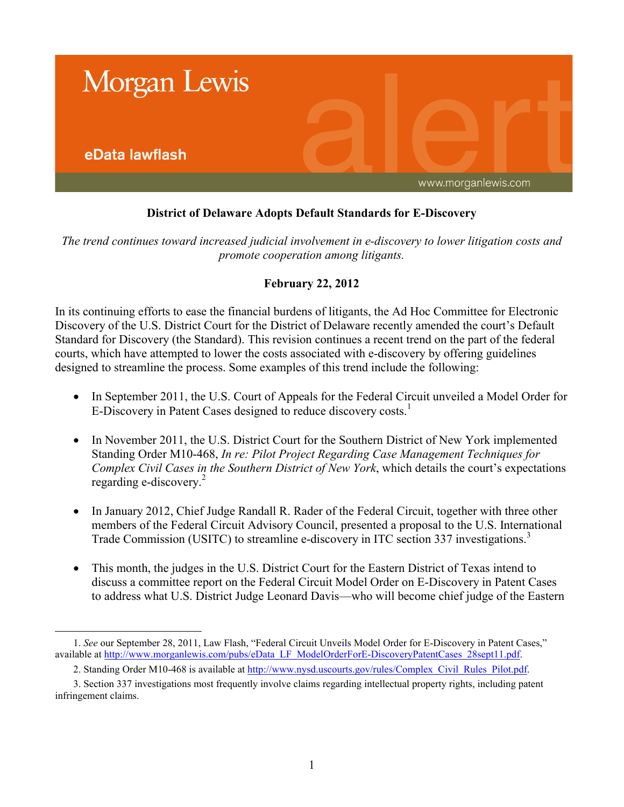

## **District of Delaware Adopts Default Standards for E-Discovery**

*The trend continues toward increased judicial involvement in e-discovery to lower litigation costs and promote cooperation among litigants.*

## **February 22, 2012**

In its continuing efforts to ease the financial burdens of litigants, the Ad Hoc Committee for Electronic Discovery of the U.S. District Court for the District of Delaware recently amended the court's Default Standard for Discovery (the Standard). This revision continues a recent trend on the part of the federal courts, which have attempted to lower the costs associated with e-discovery by offering guidelines designed to streamline the process. Some examples of this trend include the following:

- In September 2011, the U.S. Court of Appeals for the Federal Circuit unveiled a Model Order for E-Discovery in Patent Cases designed to reduce discovery costs.<sup>1</sup>
- In November 2011, the U.S. District Court for the Southern District of New York implemented Standing Order M10-468, *In re: Pilot Project Regarding Case Management Techniques for Complex Civil Cases in the Southern District of New York*, which details the court's expectations regarding e-discovery.<sup>2</sup>
- In January 2012, Chief Judge Randall R. Rader of the Federal Circuit, together with three other members of the Federal Circuit Advisory Council, presented a proposal to the U.S. International Trade Commission (USITC) to streamline e-discovery in ITC section 337 investigations.<sup>3</sup>
- This month, the judges in the U.S. District Court for the Eastern District of Texas intend to discuss a committee report on the Federal Circuit Model Order on E-Discovery in Patent Cases to address what U.S. District Judge Leonard Davis—who will become chief judge of the Eastern

 $\overline{a}$ 

<sup>1.</sup> *See* our September 28, 2011, Law Flash, "Federal Circuit Unveils Model Order for E-Discovery in Patent Cases," available at [http://www.morganlewis.com/pubs/eData\\_LF\\_ModelOrderForE-DiscoveryPatentCases\\_28sept11.pdf.](www.morganlewis.com/pubs/eData_LF_ModelOrderForE-DiscoveryPatentCases_28sept11.pdf)

<sup>2.</sup> Standing Order M10-468 is available at [http://www.nysd.uscourts.gov/rules/Complex\\_Civil\\_Rules\\_Pilot.pdf.](www.nysd.uscourts.gov/rules/Complex_Civil_Rules_Pilot.pdf)

<sup>3.</sup> Section 337 investigations most frequently involve claims regarding intellectual property rights, including patent infringement claims.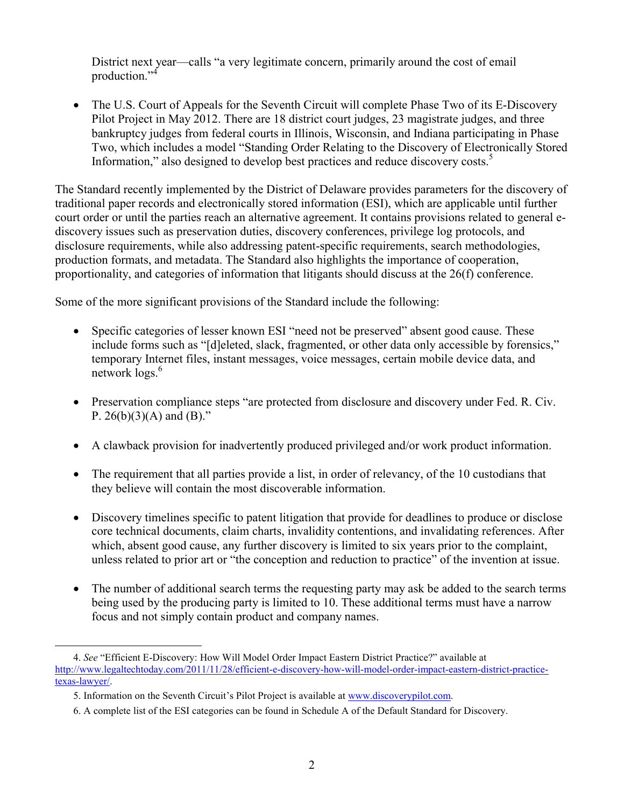District next year—calls "a very legitimate concern, primarily around the cost of email production."<sup>4</sup>

 The U.S. Court of Appeals for the Seventh Circuit will complete Phase Two of its E-Discovery Pilot Project in May 2012. There are 18 district court judges, 23 magistrate judges, and three bankruptcy judges from federal courts in Illinois, Wisconsin, and Indiana participating in Phase Two, which includes a model "Standing Order Relating to the Discovery of Electronically Stored Information," also designed to develop best practices and reduce discovery costs.<sup>5</sup>

The Standard recently implemented by the District of Delaware provides parameters for the discovery of traditional paper records and electronically stored information (ESI), which are applicable until further court order or until the parties reach an alternative agreement. It contains provisions related to general ediscovery issues such as preservation duties, discovery conferences, privilege log protocols, and disclosure requirements, while also addressing patent-specific requirements, search methodologies, production formats, and metadata. The Standard also highlights the importance of cooperation, proportionality, and categories of information that litigants should discuss at the 26(f) conference.

Some of the more significant provisions of the Standard include the following:

- Specific categories of lesser known ESI "need not be preserved" absent good cause. These include forms such as "[d]eleted, slack, fragmented, or other data only accessible by forensics," temporary Internet files, instant messages, voice messages, certain mobile device data, and network logs.<sup>6</sup>
- Preservation compliance steps "are protected from disclosure and discovery under Fed. R. Civ. P.  $26(b)(3)(A)$  and  $(B)$ ."
- A clawback provision for inadvertently produced privileged and/or work product information.
- The requirement that all parties provide a list, in order of relevancy, of the 10 custodians that they believe will contain the most discoverable information.
- Discovery timelines specific to patent litigation that provide for deadlines to produce or disclose core technical documents, claim charts, invalidity contentions, and invalidating references. After which, absent good cause, any further discovery is limited to six years prior to the complaint, unless related to prior art or "the conception and reduction to practice" of the invention at issue.
- The number of additional search terms the requesting party may ask be added to the search terms being used by the producing party is limited to 10. These additional terms must have a narrow focus and not simply contain product and company names.

 $\overline{a}$ 4. *See* "Efficient E-Discovery: How Will Model Order Impact Eastern District Practice?" available at [http://www.legaltechtoday.com/2011/11/28/efficient-e-discovery-how-will-model-order-impact-eastern-district-practice](http://www.legaltechtoday.com/2011/11/28/efficient-e-discovery-how-will-model-order-impact-eastern-district-practice-texas-lawyer/)[texas-lawyer/.](http://www.legaltechtoday.com/2011/11/28/efficient-e-discovery-how-will-model-order-impact-eastern-district-practice-texas-lawyer/)

<sup>5.</sup> Information on the Seventh Circuit's Pilot Project is available at [www.discoverypilot.com.](http://www.discoverypilot.com)

<sup>6.</sup> A complete list of the ESI categories can be found in Schedule A of the Default Standard for Discovery.